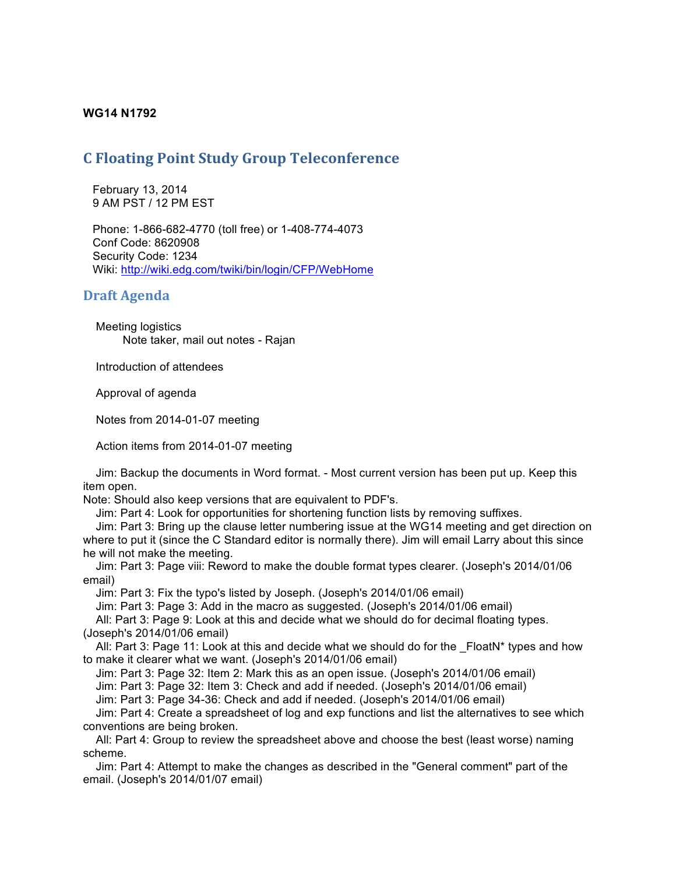# **WG14 N1792**

# **C Floating Point Study Group Teleconference**

 February 13, 2014 9 AM PST / 12 PM EST

 Phone: 1-866-682-4770 (toll free) or 1-408-774-4073 Conf Code: 8620908 Security Code: 1234 Wiki: http://wiki.edg.com/twiki/bin/login/CFP/WebHome

# **Draft Agenda**

 Meeting logistics Note taker, mail out notes - Rajan

Introduction of attendees

Approval of agenda

Notes from 2014-01-07 meeting

Action items from 2014-01-07 meeting

 Jim: Backup the documents in Word format. - Most current version has been put up. Keep this item open.

Note: Should also keep versions that are equivalent to PDF's.

Jim: Part 4: Look for opportunities for shortening function lists by removing suffixes.

 Jim: Part 3: Bring up the clause letter numbering issue at the WG14 meeting and get direction on where to put it (since the C Standard editor is normally there). Jim will email Larry about this since he will not make the meeting.

 Jim: Part 3: Page viii: Reword to make the double format types clearer. (Joseph's 2014/01/06 email)

Jim: Part 3: Fix the typo's listed by Joseph. (Joseph's 2014/01/06 email)

Jim: Part 3: Page 3: Add in the macro as suggested. (Joseph's 2014/01/06 email)

 All: Part 3: Page 9: Look at this and decide what we should do for decimal floating types. (Joseph's 2014/01/06 email)

All: Part 3: Page 11: Look at this and decide what we should do for the  $F$ loatN\* types and how to make it clearer what we want. (Joseph's 2014/01/06 email)

Jim: Part 3: Page 32: Item 2: Mark this as an open issue. (Joseph's 2014/01/06 email)

Jim: Part 3: Page 32: Item 3: Check and add if needed. (Joseph's 2014/01/06 email)

Jim: Part 3: Page 34-36: Check and add if needed. (Joseph's 2014/01/06 email)

 Jim: Part 4: Create a spreadsheet of log and exp functions and list the alternatives to see which conventions are being broken.

 All: Part 4: Group to review the spreadsheet above and choose the best (least worse) naming scheme.

 Jim: Part 4: Attempt to make the changes as described in the "General comment" part of the email. (Joseph's 2014/01/07 email)